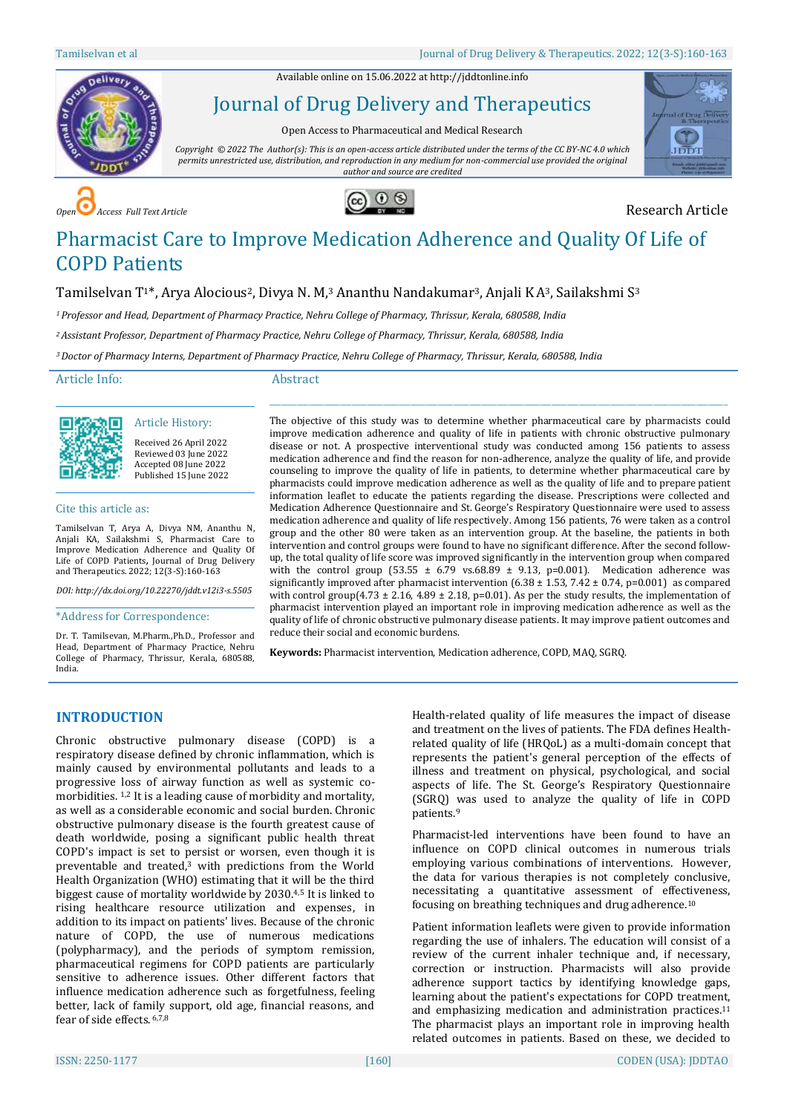Available online on 15.06.2022 a[t http://jddtonline.info](http://jddtonline.info/)



Journal of Drug Delivery and Therapeutics

Open Access to Pharmaceutical and Medical Research

*Copyright © 2022 The Author(s): This is an open-access article distributed under the terms of the CC BY-NC 4.0 which permits unrestricted use, distribution, and reproduction in any medium for non-commercial use provided the original author and source are credited*







# Pharmacist Care to Improve Medication Adherence and Quality Of Life of COPD Patients

# Tamilselvan T1\*, Arya Alocious<sup>2</sup>, Divya N. M,<sup>3</sup> Ananthu Nandakumar<sup>3</sup>, Anjali KA<sup>3</sup>, Sailakshmi S<sup>3</sup>

*<sup>1</sup>Professor and Head, Department of Pharmacy Practice, Nehru College of Pharmacy, Thrissur, Kerala, 680588, India*

*<sup>2</sup>Assistant Professor, Department of Pharmacy Practice, Nehru College of Pharmacy, Thrissur, Kerala, 680588, India*

*<sup>3</sup>Doctor of Pharmacy Interns, Department of Pharmacy Practice, Nehru College of Pharmacy, Thrissur, Kerala, 680588, India*

Article Info:

#### Abstract

Article History: Received 26 April 2022 Reviewed 03 June 2022 Accepted 08 June 2022 Published 15 June 2022

\_\_\_\_\_\_\_\_\_\_\_\_\_\_\_\_\_\_\_\_\_\_\_\_\_\_\_\_\_\_\_\_\_\_\_\_\_\_\_\_\_\_\_\_\_

#### Cite this article as:

Tamilselvan T, Arya A, Divya NM, Ananthu N, Anjali KA, Sailakshmi S, Pharmacist Care to Improve Medication Adherence and Quality Of Life of COPD Patients*,* Journal of Drug Delivery and Therapeutics. 2022; 12(3-S):160-163

\_\_\_\_\_\_\_\_\_\_\_\_\_\_\_\_\_\_\_\_\_\_\_\_\_\_\_\_\_\_\_\_\_\_\_\_\_\_\_\_\_\_\_\_\_

*DOI[: http://dx.doi.org/10.22270/jddt.v12i3-s.5505](http://dx.doi.org/10.22270/jddt.v12i3-s.5505)*  \_\_\_\_\_\_\_\_\_\_\_\_\_\_\_\_\_\_\_\_\_\_\_\_\_\_\_\_\_\_\_\_\_\_\_\_\_\_\_\_\_\_\_\_\_

\*Address for Correspondence:

Dr. T. Tamilsevan, M.Pharm.,Ph.D., Professor and Head, Department of Pharmacy Practice, Nehru College of Pharmacy, Thrissur, Kerala, 680588, India.

The objective of this study was to determine whether pharmaceutical care by pharmacists could improve medication adherence and quality of life in patients with chronic obstructive pulmonary disease or not. A prospective interventional study was conducted among 156 patients to assess medication adherence and find the reason for non-adherence, analyze the quality of life, and provide counseling to improve the quality of life in patients, to determine whether pharmaceutical care by pharmacists could improve medication adherence as well as the quality of life and to prepare patient information leaflet to educate the patients regarding the disease. Prescriptions were collected and Medication Adherence Questionnaire and St. George's Respiratory Questionnaire were used to assess medication adherence and quality of life respectively. Among 156 patients, 76 were taken as a control group and the other 80 were taken as an intervention group. At the baseline, the patients in both intervention and control groups were found to have no significant difference. After the second followup, the total quality of life score was improved significantly in the intervention group when compared with the control group (53.55  $\pm$  6.79 vs.68.89  $\pm$  9.13, p=0.001). Medication adherence was significantly improved after pharmacist intervention  $(6.38 \pm 1.53, 7.42 \pm 0.74, p=0.001)$  as compared with control group(4.73  $\pm$  2.16, 4.89  $\pm$  2.18, p=0.01). As per the study results, the implementation of pharmacist intervention played an important role in improving medication adherence as well as the quality of life of chronic obstructive pulmonary disease patients. It may improve patient outcomes and reduce their social and economic burdens.

\_\_\_\_\_\_\_\_\_\_\_\_\_\_\_\_\_\_\_\_\_\_\_\_\_\_\_\_\_\_\_\_\_\_\_\_\_\_\_\_\_\_\_\_\_\_\_\_\_\_\_\_\_\_\_\_\_\_\_\_\_\_\_\_\_\_\_\_\_\_\_\_\_\_\_\_\_\_\_\_\_\_\_\_\_\_\_\_\_\_\_\_\_\_\_\_\_\_\_\_\_\_\_\_\_\_\_\_\_\_\_\_\_\_\_\_\_

**Keywords:** Pharmacist intervention, Medication adherence, COPD, MAQ, SGRQ.

# **INTRODUCTION**

Chronic obstructive pulmonary disease (COPD) is a respiratory disease defined by chronic inflammation, which is mainly caused by environmental pollutants and leads to a progressive loss of airway function as well as systemic comorbidities. 1,2 It is a leading cause of morbidity and mortality, as well as a considerable economic and social burden. Chronic obstructive pulmonary disease is the fourth greatest cause of death worldwide, posing a significant public health threat COPD's impact is set to persist or worsen, even though it is preventable and treated, <sup>3</sup> with predictions from the World Health Organization (WHO) estimating that it will be the third biggest cause of mortality worldwide by 2030.4,5 It is linked to rising healthcare resource utilization and expenses, in addition to its impact on patients' lives. Because of the chronic nature of COPD, the use of numerous medications (polypharmacy), and the periods of symptom remission, pharmaceutical regimens for COPD patients are particularly sensitive to adherence issues. Other different factors that influence medication adherence such as forgetfulness, feeling better, lack of family support, old age, financial reasons, and fear of side effects. 6,7,8

Health-related quality of life measures the impact of disease and treatment on the lives of patients. The FDA defines Healthrelated quality of life (HRQoL) as a multi-domain concept that represents the patient's general perception of the effects of illness and treatment on physical, psychological, and social aspects of life. The St. George's Respiratory Questionnaire (SGRQ) was used to analyze the quality of life in COPD patients. 9

Pharmacist-led interventions have been found to have an influence on COPD clinical outcomes in numerous trials employing various combinations of interventions. However, the data for various therapies is not completely conclusive, necessitating a quantitative assessment of effectiveness, focusing on breathing techniques and drug adherence. 10

Patient information leaflets were given to provide information regarding the use of inhalers. The education will consist of a review of the current inhaler technique and, if necessary, correction or instruction. Pharmacists will also provide adherence support tactics by identifying knowledge gaps, learning about the patient's expectations for COPD treatment, and emphasizing medication and administration practices. 11 The pharmacist plays an important role in improving health related outcomes in patients. Based on these, we decided to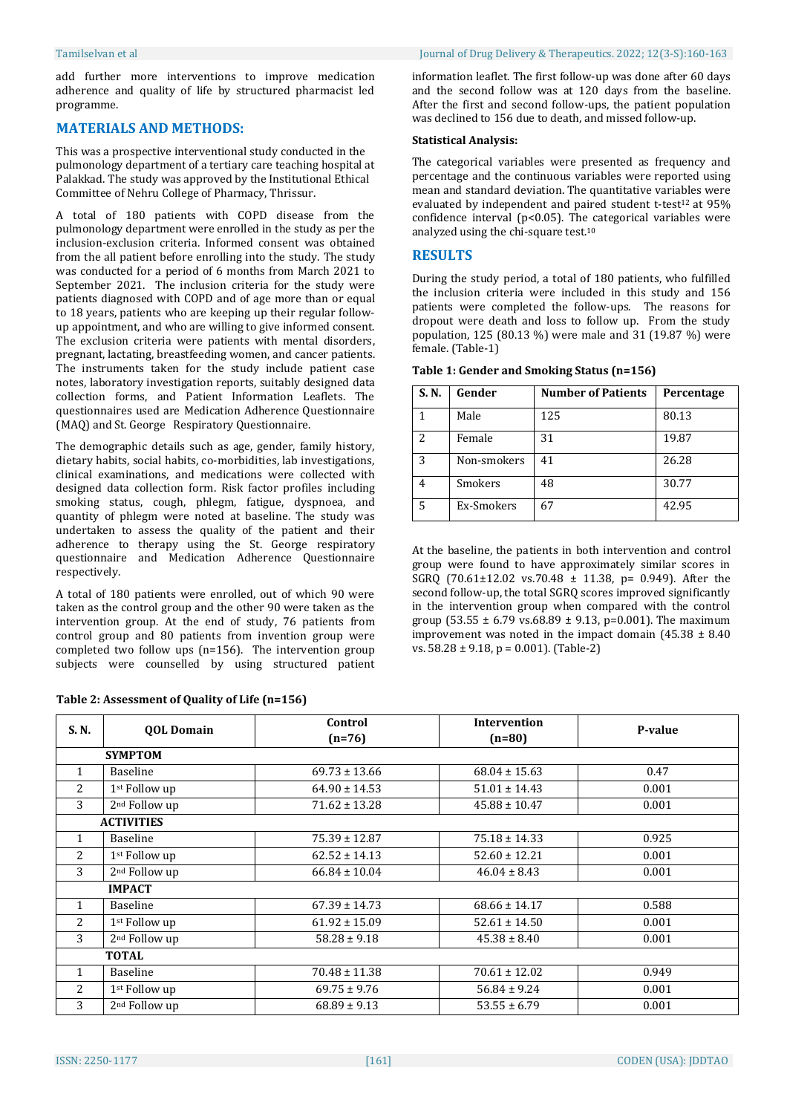add further more interventions to improve medication adherence and quality of life by structured pharmacist led programme.

## **MATERIALS AND METHODS:**

This was a prospective interventional study conducted in the pulmonology department of a tertiary care teaching hospital at Palakkad. The study was approved by the Institutional Ethical Committee of Nehru College of Pharmacy, Thrissur.

A total of 180 patients with COPD disease from the pulmonology department were enrolled in the study as per the inclusion-exclusion criteria. Informed consent was obtained from the all patient before enrolling into the study. The study was conducted for a period of 6 months from March 2021 to September 2021. The inclusion criteria for the study were patients diagnosed with COPD and of age more than or equal to 18 years, patients who are keeping up their regular followup appointment, and who are willing to give informed consent. The exclusion criteria were patients with mental disorders, pregnant, lactating, breastfeeding women, and cancer patients. The instruments taken for the study include patient case notes, laboratory investigation reports, suitably designed data collection forms, and Patient Information Leaflets. The questionnaires used are Medication Adherence Questionnaire (MAQ) and St. George Respiratory Questionnaire.

The demographic details such as age, gender, family history, dietary habits, social habits, co-morbidities, lab investigations, clinical examinations, and medications were collected with designed data collection form. Risk factor profiles including smoking status, cough, phlegm, fatigue, dyspnoea, and quantity of phlegm were noted at baseline. The study was undertaken to assess the quality of the patient and their adherence to therapy using the St. George respiratory questionnaire and Medication Adherence Questionnaire respectively.

A total of 180 patients were enrolled, out of which 90 were taken as the control group and the other 90 were taken as the intervention group. At the end of study, 76 patients from control group and 80 patients from invention group were completed two follow ups (n=156). The intervention group subjects were counselled by using structured patient

information leaflet. The first follow-up was done after 60 days and the second follow was at 120 days from the baseline. After the first and second follow-ups, the patient population was declined to 156 due to death, and missed follow-up.

#### **Statistical Analysis:**

The categorical variables were presented as frequency and percentage and the continuous variables were reported using mean and standard deviation. The quantitative variables were evaluated by independent and paired student t-test<sup>12</sup> at  $95\%$ confidence interval ( $p$ <0.05). The categorical variables were analyzed using the chi-square test. 10

# **RESULTS**

During the study period, a total of 180 patients, who fulfilled the inclusion criteria were included in this study and 156 patients were completed the follow-ups. The reasons for dropout were death and loss to follow up. From the study population, 125 (80.13 %) were male and 31 (19.87 %) were female. (Table-1)

| S. N.                    | Gender      | <b>Number of Patients</b> | Percentage |
|--------------------------|-------------|---------------------------|------------|
|                          | Male        | 125                       | 80.13      |
| $\overline{\mathcal{L}}$ | Female      | 31                        | 19.87      |
| 3                        | Non-smokers | 41                        | 26.28      |
|                          | Smokers     | 48                        | 30.77      |
| 5                        | Ex-Smokers  | 67                        | 42.95      |

**Table 1: Gender and Smoking Status (n=156)**

At the baseline, the patients in both intervention and control group were found to have approximately similar scores in SGRQ (70.61±12.02 vs.70.48 ± 11.38, p= 0.949). After the second follow-up, the total SGRQ scores improved significantly in the intervention group when compared with the control group (53.55  $\pm$  6.79 vs.68.89  $\pm$  9.13, p=0.001). The maximum improvement was noted in the impact domain  $(45.38 \pm 8.40)$ vs. 58.28 ± 9.18, p = 0.001). (Table-2)

| S.N.              | <b>OOL Domain</b>         | Control<br>$(n=76)$ | <b>Intervention</b><br>$(n=80)$ | P-value |
|-------------------|---------------------------|---------------------|---------------------------------|---------|
|                   | <b>SYMPTOM</b>            |                     |                                 |         |
| 1                 | Baseline                  | $69.73 \pm 13.66$   | $68.04 \pm 15.63$               | 0.47    |
| 2                 | 1st Follow up             | $64.90 \pm 14.53$   | $51.01 \pm 14.43$               | 0.001   |
| 3                 | 2 <sup>nd</sup> Follow up | $71.62 \pm 13.28$   | $45.88 \pm 10.47$               | 0.001   |
| <b>ACTIVITIES</b> |                           |                     |                                 |         |
| 1                 | Baseline                  | $75.39 \pm 12.87$   | $75.18 \pm 14.33$               | 0.925   |
| $\overline{2}$    | 1 <sup>st</sup> Follow up | $62.52 \pm 14.13$   | $52.60 \pm 12.21$               | 0.001   |
| 3                 | 2 <sup>nd</sup> Follow up | $66.84 \pm 10.04$   | $46.04 \pm 8.43$                | 0.001   |
| <b>IMPACT</b>     |                           |                     |                                 |         |
| 1                 | Baseline                  | $67.39 \pm 14.73$   | $68.66 \pm 14.17$               | 0.588   |
| 2                 | 1 <sup>st</sup> Follow up | $61.92 \pm 15.09$   | $52.61 \pm 14.50$               | 0.001   |
| 3                 | $2nd$ Follow up           | $58.28 \pm 9.18$    | $45.38 \pm 8.40$                | 0.001   |
| <b>TOTAL</b>      |                           |                     |                                 |         |
| 1                 | Baseline                  | $70.48 \pm 11.38$   | $70.61 \pm 12.02$               | 0.949   |
| $\overline{2}$    | 1st Follow up             | $69.75 \pm 9.76$    | $56.84 \pm 9.24$                | 0.001   |
| 3                 | 2 <sup>nd</sup> Follow up | $68.89 \pm 9.13$    | $53.55 \pm 6.79$                | 0.001   |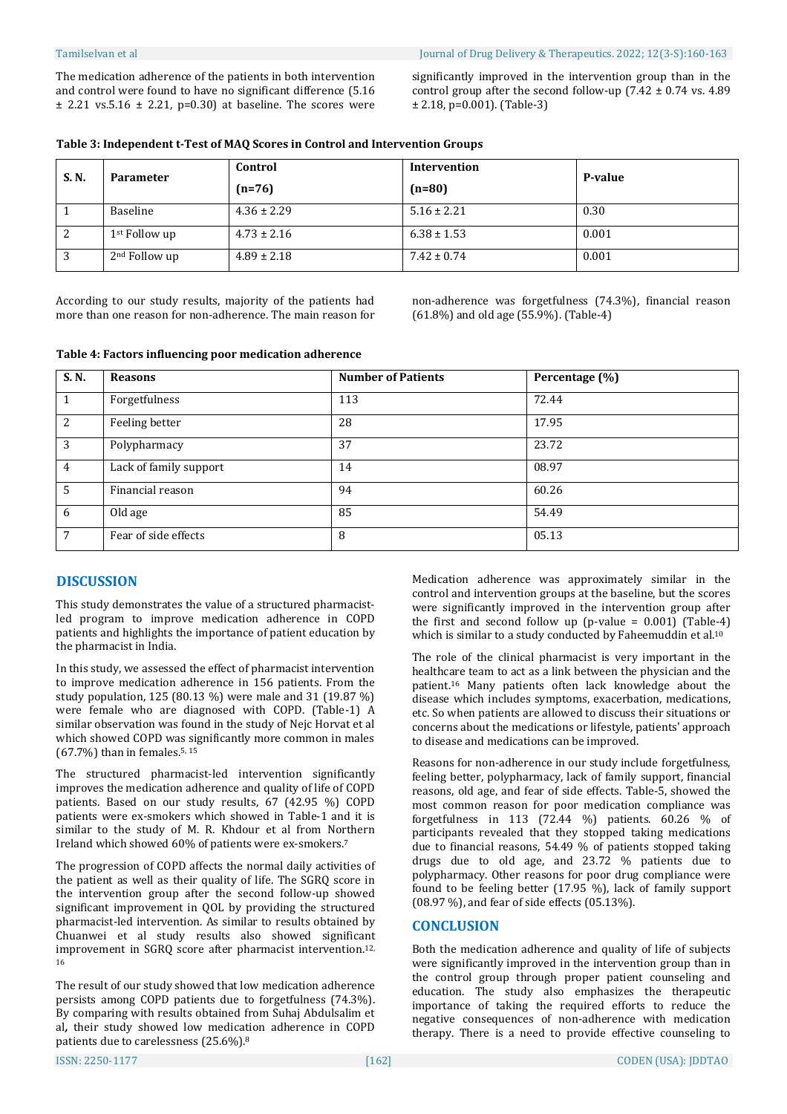The medication adherence of the patients in both intervention and control were found to have no significant difference (5.16  $\pm$  2.21 vs.5.16  $\pm$  2.21, p=0.30) at baseline. The scores were significantly improved in the intervention group than in the control group after the second follow-up  $(7.42 \pm 0.74 \text{ vs. } 4.89)$ ± 2.18, p=0.001). (Table-3)

| Table 3: Independent t-Test of MAQ Scores in Control and Intervention Groups |
|------------------------------------------------------------------------------|
|------------------------------------------------------------------------------|

| S. N. | <b>Parameter</b>          | Control         | Intervention    | P-value |
|-------|---------------------------|-----------------|-----------------|---------|
|       |                           | $(n=76)$        | $(n=80)$        |         |
|       | Baseline                  | $4.36 \pm 2.29$ | $5.16 \pm 2.21$ | 0.30    |
| 2     | 1 <sup>st</sup> Follow up | $4.73 \pm 2.16$ | $6.38 \pm 1.53$ | 0.001   |
| 3     | 2 <sup>nd</sup> Follow up | $4.89 \pm 2.18$ | $7.42 \pm 0.74$ | 0.001   |

According to our study results, majority of the patients had more than one reason for non-adherence. The main reason for non-adherence was forgetfulness (74.3%), financial reason (61.8%) and old age (55.9%). (Table-4)

| Table 4: Factors influencing poor medication adherence |  |  |
|--------------------------------------------------------|--|--|
|--------------------------------------------------------|--|--|

| S. N.          | <b>Reasons</b>         | <b>Number of Patients</b> | Percentage (%) |
|----------------|------------------------|---------------------------|----------------|
|                | Forgetfulness          | 113                       | 72.44          |
| 2              | Feeling better         | 28                        | 17.95          |
| 3              | Polypharmacy           | 37                        | 23.72          |
| $\overline{4}$ | Lack of family support | 14                        | 08.97          |
| 5              | Financial reason       | 94                        | 60.26          |
| 6              | Old age                | 85                        | 54.49          |
| 7              | Fear of side effects   | 8                         | 05.13          |

# **DISCUSSION**

This study demonstrates the value of a structured pharmacistled program to improve medication adherence in COPD patients and highlights the importance of patient education by the pharmacist in India.

In this study, we assessed the effect of pharmacist intervention to improve medication adherence in 156 patients. From the study population, 125 (80.13 %) were male and 31 (19.87 %) were female who are diagnosed with COPD. (Table-1) A similar observation was found in the study of Nejc Horvat et al which showed COPD was significantly more common in males (67.7%) than in females. 5, 15

The structured pharmacist-led intervention significantly improves the medication adherence and quality of life of COPD patients. Based on our study results, 67 (42.95 %) COPD patients were ex-smokers which showed in Table-1 and it is similar to the study of M. R. Khdour et al from Northern Ireland which showed 60% of patients were ex-smokers. 7

The progression of COPD affects the normal daily activities of the patient as well as their quality of life. The SGRQ score in the intervention group after the second follow-up showed significant improvement in QOL by providing the structured pharmacist-led intervention. As similar to results obtained by Chuanwei et al study results also showed significant improvement in SGRQ score after pharmacist intervention. 12, 16

The result of our study showed that low medication adherence persists among COPD patients due to forgetfulness (74.3%). By comparing with results obtained from Suhaj Abdulsalim et al*,* their study showed low medication adherence in COPD patients due to carelessness (25.6%). 8

Medication adherence was approximately similar in the control and intervention groups at the baseline, but the scores were significantly improved in the intervention group after the first and second follow up (p-value =  $0.001$ ) (Table-4) which is similar to a study conducted by Faheemuddin et al. 10

The role of the clinical pharmacist is very important in the healthcare team to act as a link between the physician and the patient. <sup>16</sup> Many patients often lack knowledge about the disease which includes symptoms, exacerbation, medications, etc. So when patients are allowed to discuss their situations or concerns about the medications or lifestyle, patients' approach to disease and medications can be improved.

Reasons for non-adherence in our study include forgetfulness, feeling better, polypharmacy, lack of family support, financial reasons, old age, and fear of side effects. Table-5, showed the most common reason for poor medication compliance was forgetfulness in 113 (72.44 %) patients. 60.26 % of participants revealed that they stopped taking medications due to financial reasons, 54.49 % of patients stopped taking drugs due to old age, and 23.72 % patients due to polypharmacy. Other reasons for poor drug compliance were found to be feeling better (17.95 %), lack of family support (08.97 %), and fear of side effects (05.13%).

# **CONCLUSION**

Both the medication adherence and quality of life of subjects were significantly improved in the intervention group than in the control group through proper patient counseling and education. The study also emphasizes the therapeutic importance of taking the required efforts to reduce the negative consequences of non-adherence with medication therapy. There is a need to provide effective counseling to